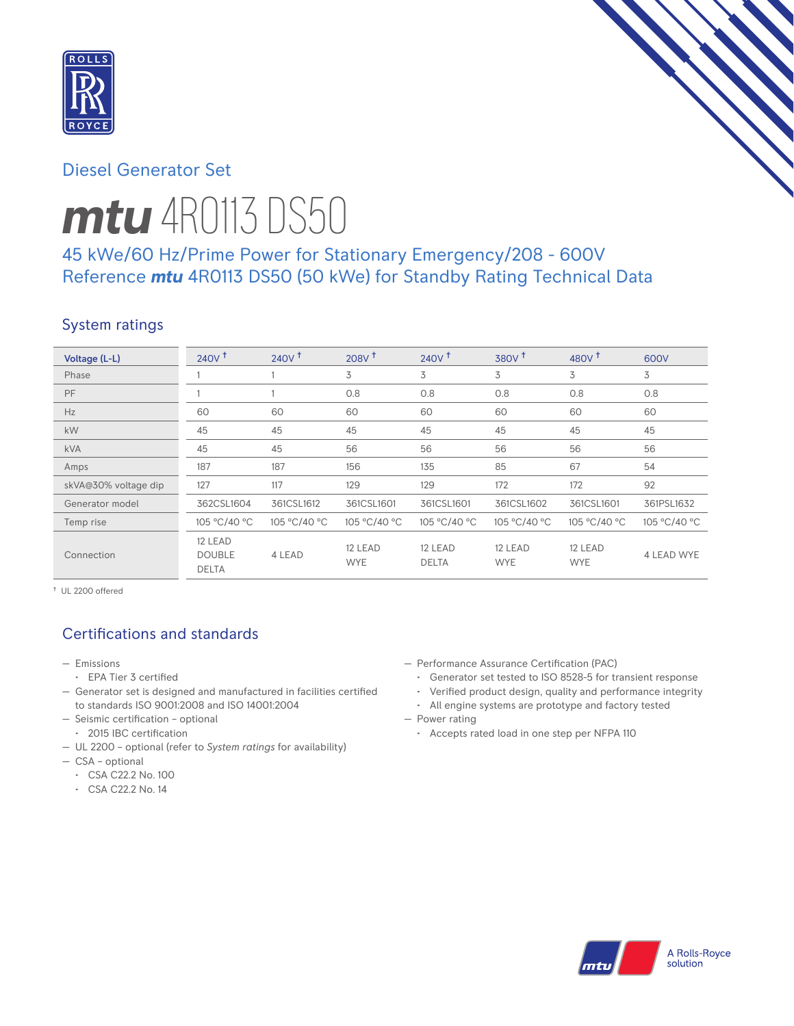

# Diesel Generator Set

# *mtu* 4R0113 DS50

# 45 kWe/60 Hz/Prime Power for Stationary Emergency/208 - 600V Reference *mtu* 4R0113 DS50 (50 kWe) for Standby Rating Technical Data

# System ratings

| Voltage (L-L)        | 240V <sup>†</sup>                        | 240V <sup>†</sup> | $208V$ <sup>t</sup>   | $240V$ <sup>+</sup>     | 380V <sup>†</sup>     | $480V$ <sup>+</sup>   | 600V              |
|----------------------|------------------------------------------|-------------------|-----------------------|-------------------------|-----------------------|-----------------------|-------------------|
| Phase                |                                          |                   | 3                     | 3                       | 3                     | 3                     | 3                 |
| PF                   |                                          |                   | 0.8                   | 0.8                     | 0.8                   | 0.8                   | 0.8               |
| Hz                   | 60                                       | 60                | 60                    | 60                      | 60                    | 60                    | 60                |
| kW                   | 45                                       | 45                | 45                    | 45                      | 45                    | 45                    | 45                |
| <b>kVA</b>           | 45                                       | 45                | 56                    | 56                      | 56                    | 56                    | 56                |
| Amps                 | 187                                      | 187               | 156                   | 135                     | 85                    | 67                    | 54                |
| skVA@30% voltage dip | 127                                      | 117               | 129                   | 129                     | 172                   | 172                   | 92                |
| Generator model      | 362CSL1604                               | 361CSL1612        | 361CSL1601            | 361CSL1601              | 361CSL1602            | 361CSL1601            | 361PSL1632        |
| Temp rise            | 105 °C/40 °C                             | 105 °C/40 °C      | 105 °C/40 °C          | 105 °C/40 °C            | 105 °C/40 °C          | 105 °C/40 °C          | 105 °C/40 °C      |
| Connection           | 12 LEAD<br><b>DOUBLE</b><br><b>DELTA</b> | 4 LEAD            | 12 LEAD<br><b>WYE</b> | 12 LEAD<br><b>DELTA</b> | 12 LEAD<br><b>WYE</b> | 12 LEAD<br><b>WYE</b> | <b>4 LEAD WYE</b> |

† UL 2200 offered

# Certifications and standards

- Emissions
- EPA Tier 3 certified
- Generator set is designed and manufactured in facilities certified to standards ISO 9001:2008 and ISO 14001:2004
- Seismic certification optional
- 2015 IBC certification
- UL 2200 optional (refer to *System ratings* for availability)
- CSA optional
	- CSA C22.2 No. 100
	- CSA C22.2 No. 14
- Performance Assurance Certification (PAC)
	- Generator set tested to ISO 8528-5 for transient response
	- Verified product design, quality and performance integrity
- All engine systems are prototype and factory tested — Power rating
	- Accepts rated load in one step per NFPA 110

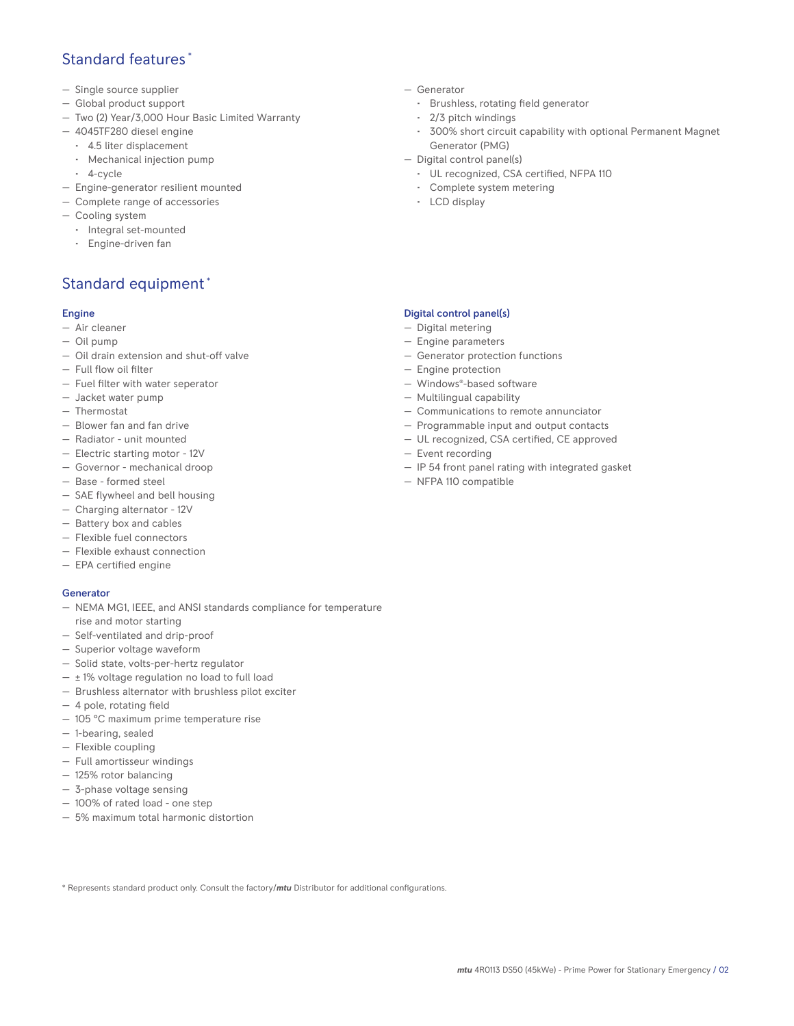# Standard features \*

- Single source supplier
- Global product support
- Two (2) Year/3,000 Hour Basic Limited Warranty
- 4045TF280 diesel engine
	- 4.5 liter displacement
	- Mechanical injection pump
	- 4-cycle
- Engine-generator resilient mounted
- Complete range of accessories
- Cooling system
- Integral set-mounted
	- Engine-driven fan

# Standard equipment \*

## Engine

- Air cleaner
- Oil pump
- Oil drain extension and shut-off valve
- Full flow oil filter
- Fuel filter with water seperator
- Jacket water pump
- Thermostat
- Blower fan and fan drive
- Radiator unit mounted
- Electric starting motor 12V
- Governor mechanical droop
- Base formed steel
- SAE flywheel and bell housing
- Charging alternator 12V
- Battery box and cables
- Flexible fuel connectors
- Flexible exhaust connection
- EPA certified engine

## **Generator**

- NEMA MG1, IEEE, and ANSI standards compliance for temperature rise and motor starting
- Self-ventilated and drip-proof
- Superior voltage waveform
- Solid state, volts-per-hertz regulator
- $\pm$  1% voltage regulation no load to full load
- Brushless alternator with brushless pilot exciter
- 4 pole, rotating field
- 105 °C maximum prime temperature rise
- 1-bearing, sealed
- Flexible coupling
- Full amortisseur windings
- 125% rotor balancing
- 3-phase voltage sensing
- 100% of rated load one step
- 5% maximum total harmonic distortion
- Generator
	- Brushless, rotating field generator
	- 2/3 pitch windings
	- 300% short circuit capability with optional Permanent Magnet Generator (PMG)
- Digital control panel(s)
	- UL recognized, CSA certified, NFPA 110
	- Complete system metering
	- LCD display

## Digital control panel(s)

- Digital metering
- Engine parameters
- Generator protection functions
- Engine protection
- Windows®-based software
- Multilingual capability
- Communications to remote annunciator
- Programmable input and output contacts
- UL recognized, CSA certified, CE approved
- Event recording
- IP 54 front panel rating with integrated gasket
- NFPA 110 compatible

\* Represents standard product only. Consult the factory/*mtu* Distributor for additional configurations.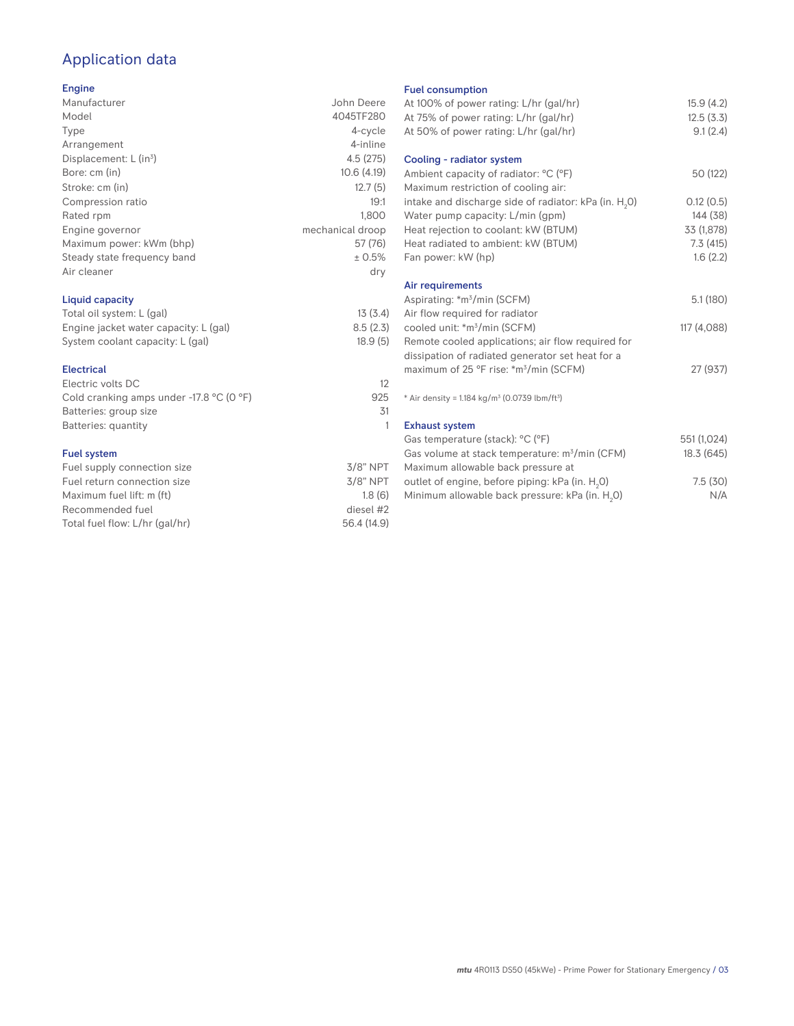# Application data

## Engine

| Manufacturer                         | John Deere       |
|--------------------------------------|------------------|
| Model                                | 4045TF280        |
| Type                                 | 4-cycle          |
| Arrangement                          | 4-inline         |
| Displacement: $L$ (in <sup>3</sup> ) | 4.5(275)         |
| Bore: cm (in)                        | 10.6(4.19)       |
| Stroke: cm (in)                      | 12.7(5)          |
| Compression ratio                    | 19:1             |
| Rated rpm                            | 1.800            |
| Engine governor                      | mechanical droop |
| Maximum power: kWm (bhp)             | 57 (76)          |
| Steady state frequency band          | ± 0.5%           |
| Air cleaner                          | dry              |
|                                      |                  |

## Liquid capacity

| Total oil system: L (gal)             | 13(3.4)  |
|---------------------------------------|----------|
| Engine jacket water capacity: L (gal) | 8.5(2.3) |
| System coolant capacity: L (gal)      | 18.9(5)  |

#### Electrical

| Electric volts DC                                            | 12  |
|--------------------------------------------------------------|-----|
| Cold cranking amps under -17.8 $^{\circ}$ C (O $^{\circ}$ F) | 925 |
| Batteries: group size                                        | .31 |
| Batteries: quantity                                          |     |
|                                                              |     |

## Fuel system

| Fuel supply connection size    | $3/8"$ NPT  |
|--------------------------------|-------------|
| Fuel return connection size    | $3/8$ " NPT |
| Maximum fuel lift: m (ft)      | 1.8(6)      |
| Recommended fuel               | diesel #2   |
| Total fuel flow: L/hr (gal/hr) | 56.4 (14.9) |

## Fuel consumption

| <b>I GET CONSUMPTION</b>                                             |             |
|----------------------------------------------------------------------|-------------|
| At 100% of power rating: L/hr (gal/hr)                               | 15.9(4.2)   |
| At 75% of power rating: L/hr (gal/hr)                                | 12.5(3.3)   |
| At 50% of power rating: L/hr (gal/hr)                                | 9.1(2.4)    |
|                                                                      |             |
| Cooling - radiator system                                            |             |
| Ambient capacity of radiator: °C (°F)                                | 50 (122)    |
| Maximum restriction of cooling air:                                  |             |
| intake and discharge side of radiator: kPa (in. H <sub>2</sub> 0)    | 0.12(0.5)   |
| Water pump capacity: L/min (gpm)                                     | 144 (38)    |
| Heat rejection to coolant: kW (BTUM)                                 | 33 (1,878)  |
| Heat radiated to ambient: kW (BTUM)                                  | 7.3(415)    |
| Fan power: kW (hp)                                                   | 1.6(2.2)    |
|                                                                      |             |
| Air requirements                                                     |             |
| Aspirating: *m <sup>3</sup> /min (SCFM)                              | 5.1(180)    |
| Air flow required for radiator                                       |             |
| cooled unit: *m <sup>3</sup> /min (SCFM)                             | 117 (4,088) |
| Remote cooled applications; air flow required for                    |             |
| dissipation of radiated generator set heat for a                     |             |
| maximum of 25 °F rise: *m <sup>3</sup> /min (SCFM)                   | 27 (937)    |
|                                                                      |             |
| * Air density = $1.184 \text{ kg/m}^3$ (0.0739 lbm/ft <sup>3</sup> ) |             |
|                                                                      |             |
| <b>Exhaust system</b>                                                |             |
| Gas temperature (stack): °C (°F)                                     | 551 (1,024) |
| Gas volume at stack temperature: m <sup>3</sup> /min (CFM)           | 18.3 (645)  |
| Maximum allowable back pressure at                                   |             |
| outlet of engine, before piping: kPa (in. H <sub>2</sub> 0)          | 7.5(30)     |
| Minimum allowable back pressure: kPa (in. H <sub>2</sub> 0)          | N/A         |
|                                                                      |             |